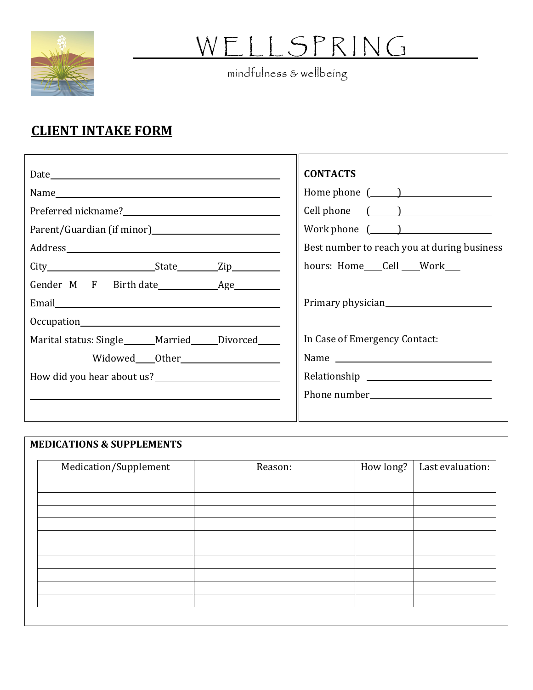

## W E L L S P R IN G

mindfulness & wellbeing

## **CLIENT INTAKE FORM**

|                                                            | <b>CONTACTS</b>                                                                                        |
|------------------------------------------------------------|--------------------------------------------------------------------------------------------------------|
|                                                            | Home phone $(\_\_)$                                                                                    |
|                                                            | Cell phone $(\_\_)$                                                                                    |
|                                                            | Work phone $\left(\begin{array}{c} \begin{array}{c} \end{array}\\ \begin{array}{c} \end{array}\right)$ |
|                                                            | Best number to reach you at during business                                                            |
|                                                            | hours: Home Cell Work                                                                                  |
| Gender M F Birth date Age                                  |                                                                                                        |
|                                                            | Primary physician                                                                                      |
|                                                            |                                                                                                        |
| Marital status: Single ______ Married _____ Divorced _____ | In Case of Emergency Contact:                                                                          |
| Widowed Other Nicolas Communications                       |                                                                                                        |
| How did you hear about us?                                 |                                                                                                        |
|                                                            |                                                                                                        |
|                                                            |                                                                                                        |

| Medication/Supplement | Reason: | How long? | Last evaluation: |
|-----------------------|---------|-----------|------------------|
|                       |         |           |                  |
|                       |         |           |                  |
|                       |         |           |                  |
|                       |         |           |                  |
|                       |         |           |                  |
|                       |         |           |                  |
|                       |         |           |                  |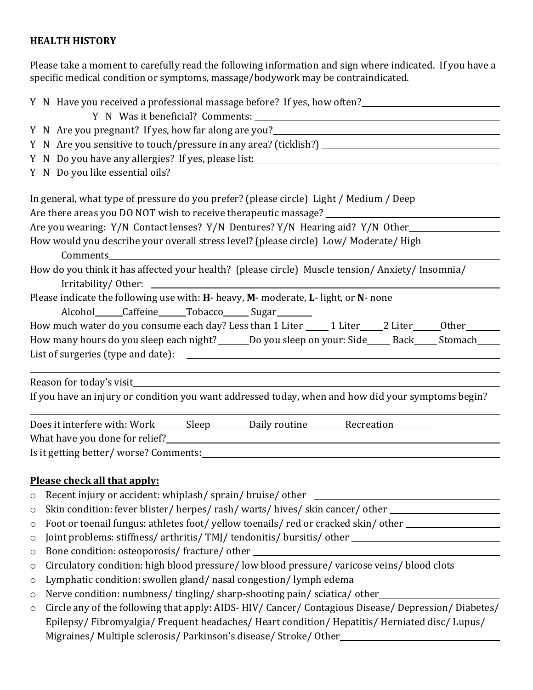## **HEALTH HISTORY**

Please take a moment to carefully read the following information and sign where indicated. If you have a specific medical condition or symptoms, massage/bodywork may be contraindicated.

|         | Y N Have you received a professional massage before? If yes, how often?                                                                                                                                                                           |                                                                                                           |  |  |  |  |  |
|---------|---------------------------------------------------------------------------------------------------------------------------------------------------------------------------------------------------------------------------------------------------|-----------------------------------------------------------------------------------------------------------|--|--|--|--|--|
|         |                                                                                                                                                                                                                                                   |                                                                                                           |  |  |  |  |  |
|         | Y N Are you pregnant? If yes, how far along are you?<br>N Are you pregnant? If yes, how far along are you?                                                                                                                                        |                                                                                                           |  |  |  |  |  |
|         |                                                                                                                                                                                                                                                   |                                                                                                           |  |  |  |  |  |
|         | Y N Do you have any allergies? If yes, please list: _____________________________                                                                                                                                                                 |                                                                                                           |  |  |  |  |  |
|         |                                                                                                                                                                                                                                                   | Y N Do you like essential oils?                                                                           |  |  |  |  |  |
|         | In general, what type of pressure do you prefer? (please circle) Light / Medium / Deep                                                                                                                                                            |                                                                                                           |  |  |  |  |  |
|         |                                                                                                                                                                                                                                                   | Are there areas you DO NOT wish to receive therapeutic massage? _________________                         |  |  |  |  |  |
|         | Are you wearing: Y/N Contact lenses? Y/N Dentures? Y/N Hearing aid? Y/N Other                                                                                                                                                                     |                                                                                                           |  |  |  |  |  |
|         | How would you describe your overall stress level? (please circle) Low/ Moderate/ High<br>Comments                                                                                                                                                 |                                                                                                           |  |  |  |  |  |
|         | How do you think it has affected your health? (please circle) Muscle tension/ Anxiety/ Insomnia/<br>Please indicate the following use with: H- heavy, M- moderate, L- light, or N- none<br>Alcohol______Caffeine______Tobacco_______Sugar________ |                                                                                                           |  |  |  |  |  |
|         |                                                                                                                                                                                                                                                   |                                                                                                           |  |  |  |  |  |
|         |                                                                                                                                                                                                                                                   | How much water do you consume each day? Less than 1 Liter _____ 1 Liter _____ 2 Liter ______ Other ______ |  |  |  |  |  |
|         |                                                                                                                                                                                                                                                   | How many hours do you sleep each night? ______ Do you sleep on your: Side_____ Back_____ Stomach____      |  |  |  |  |  |
|         |                                                                                                                                                                                                                                                   |                                                                                                           |  |  |  |  |  |
|         |                                                                                                                                                                                                                                                   | Reason for today's visit                                                                                  |  |  |  |  |  |
|         |                                                                                                                                                                                                                                                   | If you have an injury or condition you want addressed today, when and how did your symptoms begin?        |  |  |  |  |  |
|         |                                                                                                                                                                                                                                                   | Does it interfere with: Work_______Sleep__________Daily routine__________Recreation________________       |  |  |  |  |  |
|         |                                                                                                                                                                                                                                                   |                                                                                                           |  |  |  |  |  |
|         |                                                                                                                                                                                                                                                   |                                                                                                           |  |  |  |  |  |
|         |                                                                                                                                                                                                                                                   | Please check all that apply:                                                                              |  |  |  |  |  |
| $\circ$ |                                                                                                                                                                                                                                                   | Recent injury or accident: whiplash/sprain/bruise/other                                                   |  |  |  |  |  |
| $\circ$ | Skin condition: fever blister/herpes/rash/warts/hives/skin cancer/other                                                                                                                                                                           |                                                                                                           |  |  |  |  |  |
| $\circ$ | Foot or toenail fungus: athletes foot/yellow toenails/red or cracked skin/other                                                                                                                                                                   |                                                                                                           |  |  |  |  |  |
| $\circ$ |                                                                                                                                                                                                                                                   | Joint problems: stiffness/ arthritis/ TMJ/ tendonitis/ bursitis/ other ____________________________       |  |  |  |  |  |

- o Bone condition: osteoporosis/ fracture/ other
- o Circulatory condition: high blood pressure/ low blood pressure/ varicose veins/ blood clots
- o Lymphatic condition: swollen gland/ nasal congestion/ lymph edema
- o Nerve condition: numbness/ tingling/ sharp-shooting pain/ sciatica/ other
- o Circle any of the following that apply: AIDS- HIV/ Cancer/ Contagious Disease/ Depression/ Diabetes/ Epilepsy/ Fibromyalgia/ Frequent headaches/ Heart condition/ Hepatitis/ Herniated disc/ Lupus/ Migraines/ Multiple sclerosis/ Parkinson's disease/ Stroke/ Other